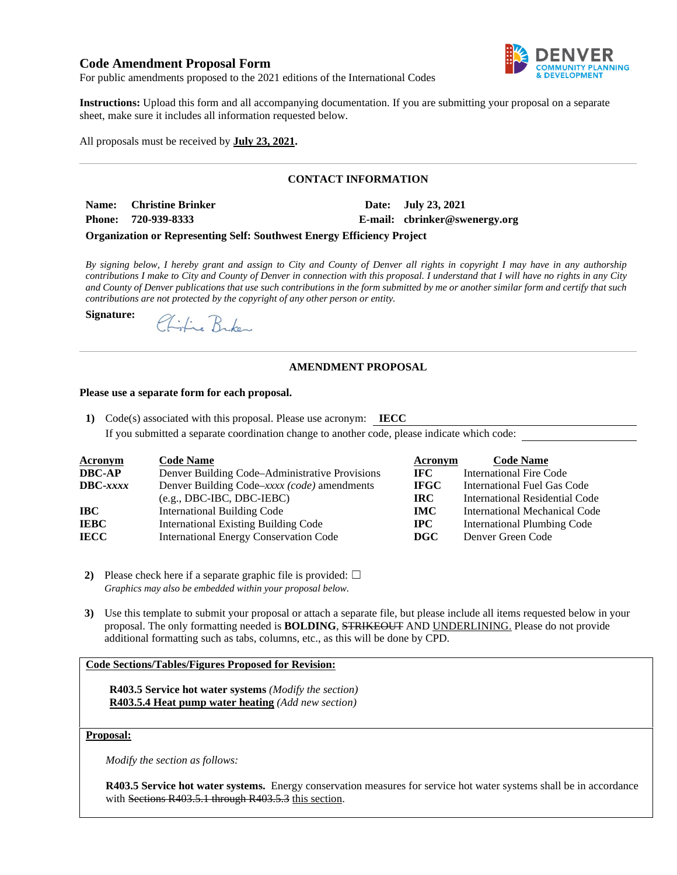# **Code Amendment Proposal Form**



For public amendments proposed to the 2021 editions of the International Codes

**Instructions:** Upload this form and all accompanying documentation. If you are submitting your proposal on a separate sheet, make sure it includes all information requested below.

All proposals must be received by **July 23, 2021.** 

## **CONTACT INFORMATION**

Name: Christine Brinker Date: July 23, 2021

**Signature:**

**Phone: 720-939-8333 E-mail: [cbrinker@swenergy.org](mailto:cbrinker@swenergy.org)**

#### **Organization or Representing Self: Southwest Energy Efficiency Project**

*By signing below, I hereby grant and assign to City and County of Denver all rights in copyright I may have in any authorship contributions I make to City and County of Denver in connection with this proposal. I understand that I will have no rights in any City and County of Denver publications that use such contributions in the form submitted by me or another similar form and certify that such contributions are not protected by the copyright of any other person or entity.* 

Chifie Brken

#### **AMENDMENT PROPOSAL**

#### **Please use a separate form for each proposal.**

**1)** Code(s) associated with this proposal. Please use acronym: **IECC**  If you submitted a separate coordination change to another code, please indicate which code:

| <b>Acronym</b>    | <b>Code Name</b>                               | Acronym     | <b>Code Name</b>                   |
|-------------------|------------------------------------------------|-------------|------------------------------------|
| <b>DBC-AP</b>     | Denver Building Code–Administrative Provisions | IFC -       | <b>International Fire Code</b>     |
| $\text{DBC}-xxxx$ | Denver Building Code-xxxx (code) amendments    | <b>IFGC</b> | International Fuel Gas Code        |
|                   | $(e.g., DBC-IBC, DBC-IEBC)$                    | IRC-        | International Residential Code     |
| IBC               | <b>International Building Code</b>             | <b>IMC</b>  | International Mechanical Code      |
| <b>IEBC</b>       | <b>International Existing Building Code</b>    | $\bf IPC$   | <b>International Plumbing Code</b> |
| <b>IECC</b>       | <b>International Energy Conservation Code</b>  | $\bf DGC$   | Denver Green Code                  |

- **2)** Please check here if a separate graphic file is provided:  $\Box$ *Graphics may also be embedded within your proposal below.*
- **3)** Use this template to submit your proposal or attach a separate file, but please include all items requested below in your proposal. The only formatting needed is **BOLDING**, STRIKEOUT AND UNDERLINING. Please do not provide additional formatting such as tabs, columns, etc., as this will be done by CPD.

## **Code Sections/Tables/Figures Proposed for Revision:**

**R403.5 Service hot water systems** *(Modify the section)* **R403.5.4 Heat pump water heating** *(Add new section)*

## **Proposal:**

*Modify the section as follows:* 

**R403.5 Service hot water systems.** Energy conservation measures for service hot water systems shall be in accordance with Sections R403.5.1 through R403.5.3 this section.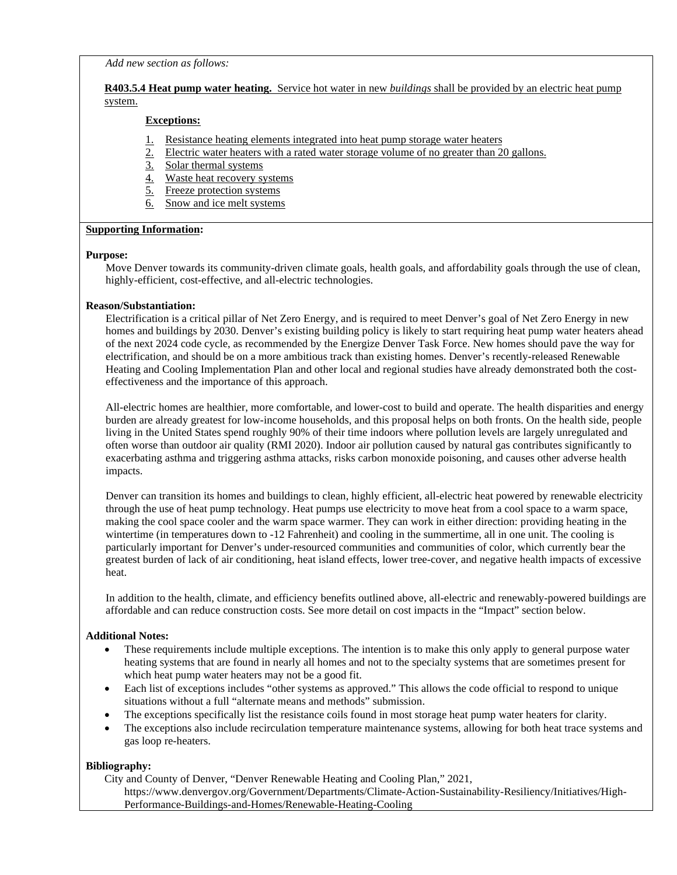*Add new section as follows:* 

## **R403.5.4 Heat pump water heating.** Service hot water in new *buildings* shall be provided by an electric heat pump system.

## **Exceptions:**

- 1. Resistance heating elements integrated into heat pump storage water heaters
- 2. Electric water heaters with a rated water storage volume of no greater than 20 gallons.
- 3. Solar thermal systems
- 4. Waste heat recovery systems
- 5. Freeze protection systems
- 6. Snow and ice melt systems

### **Supporting Information:**

### **Purpose:**

Move Denver towards its community-driven climate goals, health goals, and affordability goals through the use of clean, highly-efficient, cost-effective, and all-electric technologies.

### **Reason/Substantiation:**

Electrification is a critical pillar of Net Zero Energy, and is required to meet Denver's goal of Net Zero Energy in new homes and buildings by 2030. Denver's existing building policy is likely to start requiring heat pump water heaters ahead of the next 2024 code cycle, as recommended by the Energize Denver Task Force. New homes should pave the way for electrification, and should be on a more ambitious track than existing homes. Denver's recently-released Renewable Heating and Cooling Implementation Plan and other local and regional studies have already demonstrated both the costeffectiveness and the importance of this approach.

All-electric homes are healthier, more comfortable, and lower-cost to build and operate. The health disparities and energy burden are already greatest for low-income households, and this proposal helps on both fronts. On the health side, people living in the United States spend roughly 90% of their time indoors where pollution levels are largely unregulated and often worse than outdoor air quality (RMI 2020). Indoor air pollution caused by natural gas contributes significantly to exacerbating asthma and triggering asthma attacks, risks carbon monoxide poisoning, and causes other adverse health impacts.

Denver can transition its homes and buildings to clean, highly efficient, all-electric heat powered by renewable electricity through the use of heat pump technology. Heat pumps use electricity to move heat from a cool space to a warm space, making the cool space cooler and the warm space warmer. They can work in either direction: providing heating in the wintertime (in temperatures down to -12 Fahrenheit) and cooling in the summertime, all in one unit. The cooling is particularly important for Denver's under-resourced communities and communities of color, which currently bear the greatest burden of lack of air conditioning, heat island effects, lower tree-cover, and negative health impacts of excessive heat.

In addition to the health, climate, and efficiency benefits outlined above, all-electric and renewably-powered buildings are affordable and can reduce construction costs. See more detail on cost impacts in the "Impact" section below.

## **Additional Notes:**

- These requirements include multiple exceptions. The intention is to make this only apply to general purpose water heating systems that are found in nearly all homes and not to the specialty systems that are sometimes present for which heat pump water heaters may not be a good fit.
- Each list of exceptions includes "other systems as approved." This allows the code official to respond to unique situations without a full "alternate means and methods" submission.
- The exceptions specifically list the resistance coils found in most storage heat pump water heaters for clarity.
- The exceptions also include recirculation temperature maintenance systems, allowing for both heat trace systems and gas loop re-heaters.

## **Bibliography:**

City and County of Denver, "Denver Renewable Heating and Cooling Plan," 2021,

https://www.denvergov.org/Government/Departments/Climate-Action-Sustainability-Resiliency/Initiatives/High-Performance-Buildings-and-Homes/Renewable-Heating-Cooling